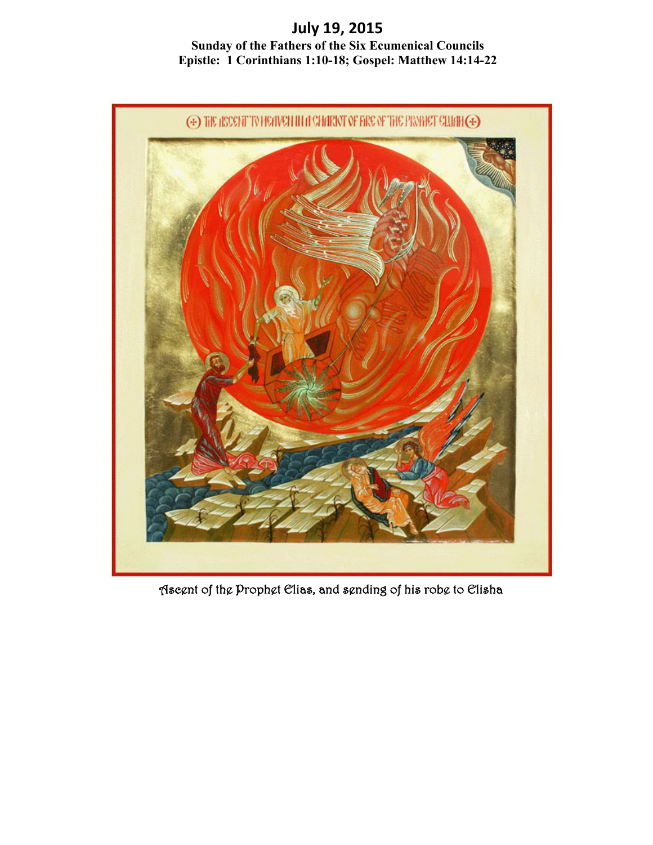**July 19, 2015 Sunday of the Fathers of the Six Ecumenical Councils Epistle: 1 Corinthians 1:10-18; Gospel: Matthew 14:14-22**



Ascent of the Prophet Elias, and sending of his robe to Elisha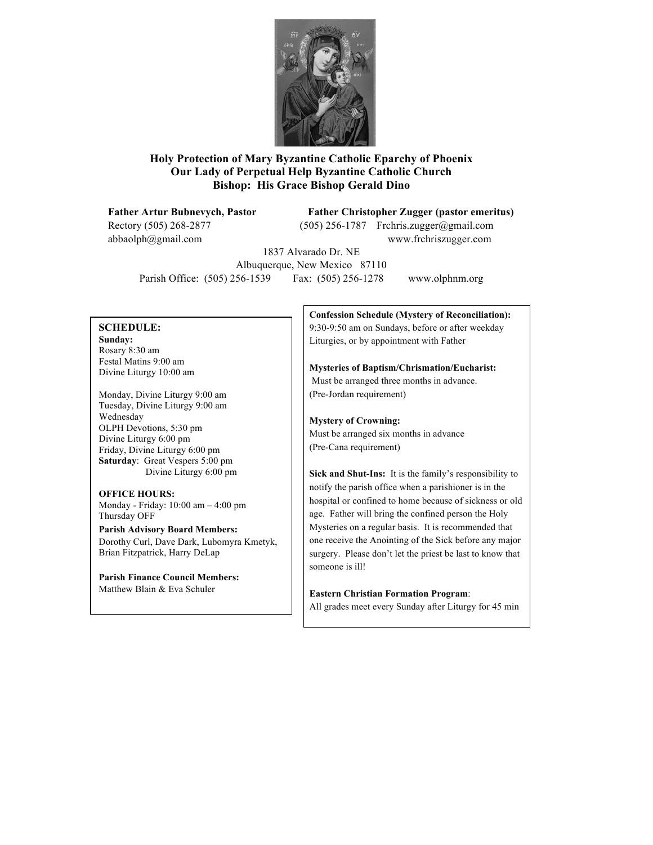

#### **Holy Protection of Mary Byzantine Catholic Eparchy of Phoenix Our Lady of Perpetual Help Byzantine Catholic Church Bishop: His Grace Bishop Gerald Dino**

Rectory (505) 268-2877 (505) 256-1787 Frchris.zugger@gmail.com

#### **Father Artur Bubnevych, Pastor Father Christopher Zugger (pastor emeritus)**

abbaolph@gmail.com www.frchriszugger.com

1837 Alvarado Dr. NE Albuquerque, New Mexico 87110 Parish Office: (505) 256-1539 Fax: (505) 256-1278 www.olphnm.org

#### **SCHEDULE:**

**Sunday:** Rosary 8:30 am Festal Matins 9:00 am Divine Liturgy 10:00 am

Monday, Divine Liturgy 9:00 am Tuesday, Divine Liturgy 9:00 am Wednesday OLPH Devotions, 5:30 pm Divine Liturgy 6:00 pm Friday, Divine Liturgy 6:00 pm **Saturday**: Great Vespers 5:00 pm Divine Liturgy 6:00 pm

# **OFFICE HOURS:**

Monday - Friday: 10:00 am – 4:00 pm Thursday OFF

**Parish Advisory Board Members:** Dorothy Curl, Dave Dark, Lubomyra Kmetyk, Brian Fitzpatrick, Harry DeLap

**Parish Finance Council Members:** Matthew Blain & Eva Schuler

**Confession Schedule (Mystery of Reconciliation):** 9:30-9:50 am on Sundays, before or after weekday Liturgies, or by appointment with Father

**Mysteries of Baptism/Chrismation/Eucharist:** Must be arranged three months in advance. (Pre-Jordan requirement)

### **Mystery of Crowning:**

Must be arranged six months in advance (Pre-Cana requirement)

**Sick and Shut-Ins:** It is the family's responsibility to notify the parish office when a parishioner is in the hospital or confined to home because of sickness or old age. Father will bring the confined person the Holy Mysteries on a regular basis. It is recommended that one receive the Anointing of the Sick before any major surgery. Please don't let the priest be last to know that someone is ill!

**Eastern Christian Formation Program**:

All grades meet every Sunday after Liturgy for 45 min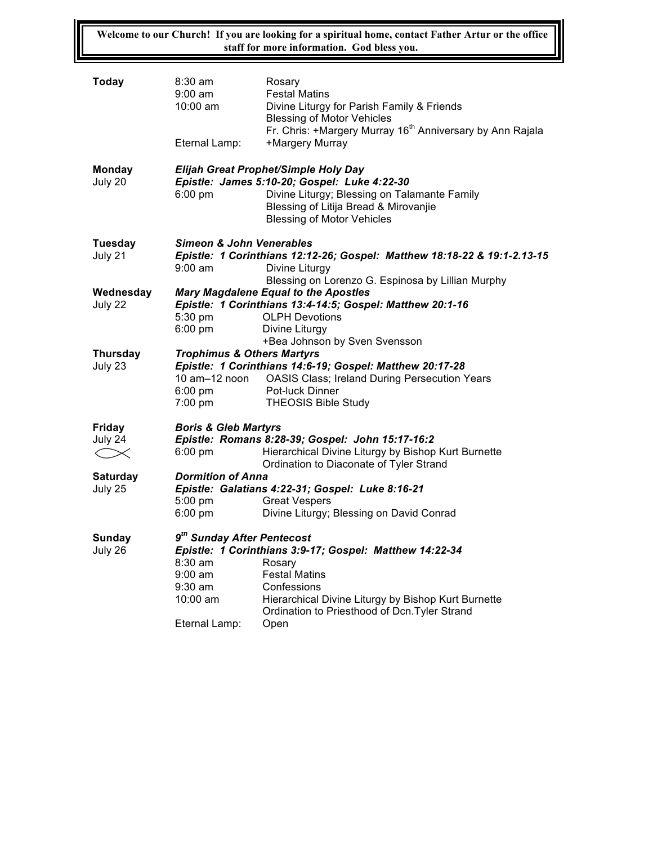**Welcome to our Church! If you are looking for a spiritual home, contact Father Artur or the office staff for more information. God bless you.**

| <b>Today</b>               | $8:30$ am<br>$9:00$ am<br>$10:00$ am<br>Eternal Lamp:                                                                                                                                                                                                                     | Rosary<br><b>Festal Matins</b><br>Divine Liturgy for Parish Family & Friends<br><b>Blessing of Motor Vehicles</b><br>Fr. Chris: +Margery Murray 16 <sup>th</sup> Anniversary by Ann Rajala<br>+Margery Murray      |  |
|----------------------------|---------------------------------------------------------------------------------------------------------------------------------------------------------------------------------------------------------------------------------------------------------------------------|--------------------------------------------------------------------------------------------------------------------------------------------------------------------------------------------------------------------|--|
| <b>Monday</b><br>July 20   | $6:00$ pm                                                                                                                                                                                                                                                                 | Elijah Great Prophet/Simple Holy Day<br>Epistle: James 5:10-20; Gospel: Luke 4:22-30<br>Divine Liturgy; Blessing on Talamante Family<br>Blessing of Litija Bread & Mirovanjie<br><b>Blessing of Motor Vehicles</b> |  |
| Tuesday<br>July 21         | <b>Simeon &amp; John Venerables</b><br>Epistle: 1 Corinthians 12:12-26; Gospel: Matthew 18:18-22 & 19:1-2.13-15<br>$9:00$ am<br>Divine Liturgy                                                                                                                            |                                                                                                                                                                                                                    |  |
| Wednesday<br>July 22       | Blessing on Lorenzo G. Espinosa by Lillian Murphy<br><b>Mary Magdalene Equal to the Apostles</b><br>Epistle: 1 Corinthians 13:4-14:5; Gospel: Matthew 20:1-16<br>5:30 pm<br><b>OLPH Devotions</b><br>$6:00 \text{ pm}$<br>Divine Liturgy<br>+Bea Johnson by Sven Svensson |                                                                                                                                                                                                                    |  |
| <b>Thursday</b><br>July 23 | <b>Trophimus &amp; Others Martyrs</b><br>10 am-12 noon<br>$6:00 \text{ pm}$<br>7:00 pm                                                                                                                                                                                    | Epistle: 1 Corinthians 14:6-19; Gospel: Matthew 20:17-28<br><b>OASIS Class; Ireland During Persecution Years</b><br>Pot-luck Dinner<br><b>THEOSIS Bible Study</b>                                                  |  |
| Friday                     | <b>Boris &amp; Gleb Martyrs</b>                                                                                                                                                                                                                                           |                                                                                                                                                                                                                    |  |
| July 24<br>$\leq$ $\infty$ | $6:00$ pm                                                                                                                                                                                                                                                                 | Epistle: Romans 8:28-39; Gospel: John 15:17-16:2<br>Hierarchical Divine Liturgy by Bishop Kurt Burnette<br>Ordination to Diaconate of Tyler Strand                                                                 |  |
| <b>Saturday</b>            | <b>Dormition of Anna</b>                                                                                                                                                                                                                                                  |                                                                                                                                                                                                                    |  |
| July 25                    |                                                                                                                                                                                                                                                                           | Epistle: Galatians 4:22-31; Gospel: Luke 8:16-21                                                                                                                                                                   |  |
|                            | $5:00 \text{ pm}$<br>$6:00 \text{ pm}$                                                                                                                                                                                                                                    | <b>Great Vespers</b><br>Divine Liturgy; Blessing on David Conrad                                                                                                                                                   |  |
| Sunday<br>July 26          | 9 <sup>th</sup> Sunday After Pentecost<br>8:30 am<br>$9:00$ am<br>$9:30$ am<br>10:00 am                                                                                                                                                                                   | Epistle: 1 Corinthians 3:9-17; Gospel: Matthew 14:22-34<br>Rosary<br><b>Festal Matins</b><br>Confessions<br>Hierarchical Divine Liturgy by Bishop Kurt Burnette<br>Ordination to Priesthood of Dcn. Tyler Strand   |  |
|                            | Eternal Lamp:                                                                                                                                                                                                                                                             | Open                                                                                                                                                                                                               |  |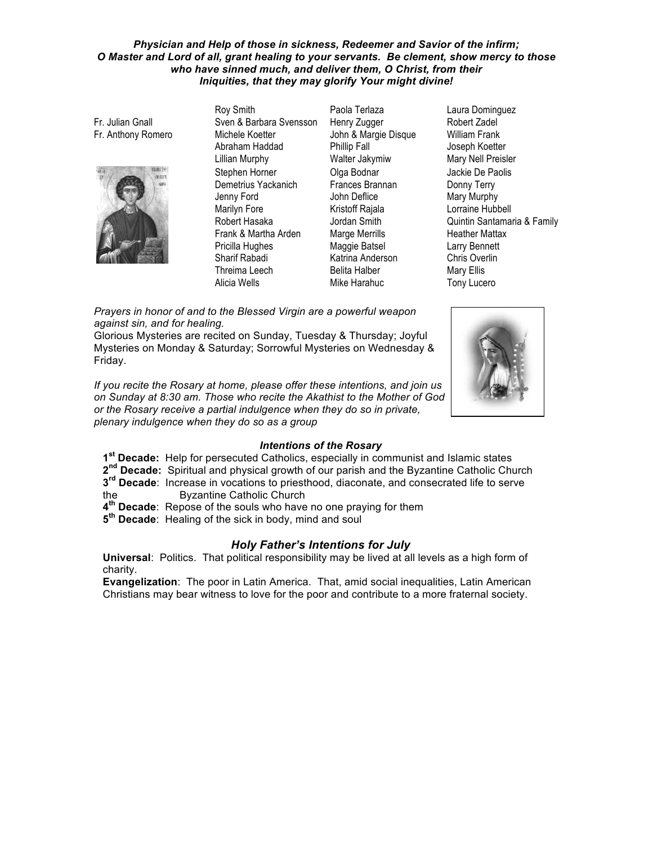#### Physician and Help of those in sickness, Redeemer and Savior of the infirm; O Master and Lord of all, grant healing to your servants. Be clement, show mercy to those who have sinned much, and deliver them, O Christ, from their Iniquities, that they may glorify Your might divine!

Fr. Julian Gnall Fr. Anthony Romero



Rov Smith Sven & Barbara Svensson Michele Koetter Abraham Haddad **Lillian Murphy** Stephen Horner Demetrius Yackanich Jenny Ford Marilyn Fore Robert Hasaka Frank & Martha Arden Pricilla Hughes Sharif Rabadi Threima Leech Alicia Wells

Paola Terlaza Henry Zugger John & Margie Disque Phillip Fall Walter Jakymiw Olga Bodnar Frances Brannan John Deflice Kristoff Rajala Jordan Smith Marge Merrills Maggie Batsel Katrina Anderson **Belita Halber** Mike Harahuc

Laura Dominguez Robert Zadel **William Frank** Joseph Koetter Mary Nell Preisler Jackie De Paolis Donny Terry Mary Murphy Lorraine Hubbell Quintin Santamaria & Family **Heather Mattax Larry Bennett** Chris Overlin **Mary Ellis** Tony Lucero

Prayers in honor of and to the Blessed Virgin are a powerful weapon against sin, and for healing.

Glorious Mysteries are recited on Sunday, Tuesday & Thursday; Joyful Mysteries on Monday & Saturday; Sorrowful Mysteries on Wednesday & Friday.

If you recite the Rosary at home, please offer these intentions, and join us on Sunday at 8:30 am. Those who recite the Akathist to the Mother of God or the Rosary receive a partial indulgence when they do so in private, plenary indulgence when they do so as a group



#### **Intentions of the Rosary**

1<sup>st</sup> Decade: Help for persecuted Catholics, especially in communist and Islamic states

- 2<sup>nd</sup> Decade: Spiritual and physical growth of our parish and the Byzantine Catholic Church 3<sup>rd</sup> Decade: Increase in vocations to priesthood, diaconate, and consecrated life to serve
- **Byzantine Catholic Church** the
- 4<sup>th</sup> Decade: Repose of the souls who have no one praying for them
- 5<sup>th</sup> Decade: Healing of the sick in body, mind and soul

#### **Holy Father's Intentions for July**

Universal: Politics. That political responsibility may be lived at all levels as a high form of charity.

Evangelization: The poor in Latin America. That, amid social inequalities, Latin American Christians may bear witness to love for the poor and contribute to a more fraternal society.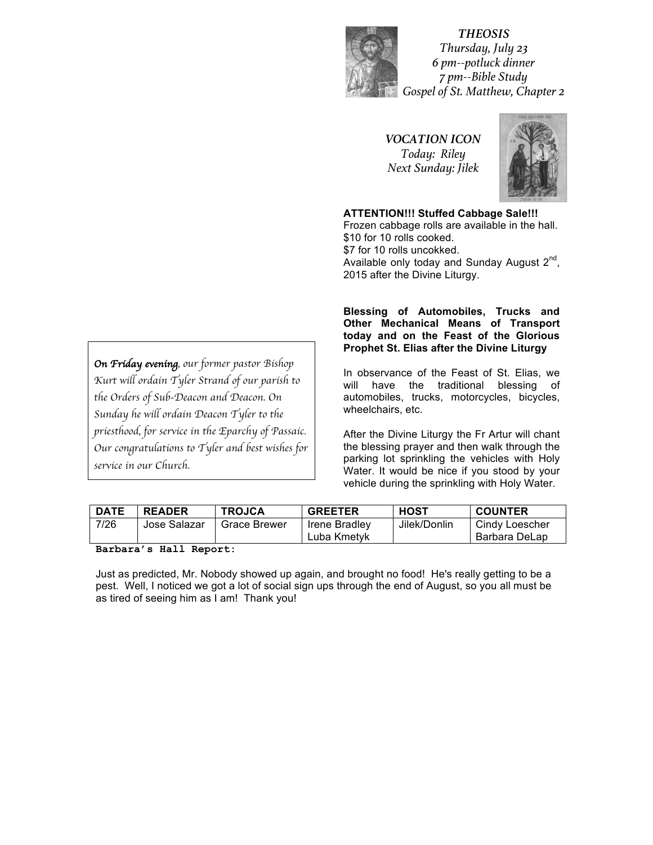

*THEOSIS Thursday, July 23 6 pm--potluck dinner 7 pm--Bible Study Gospel of St. Matthew, Chapter 2*

*VOCATION ICON Today: Riley Next Sunday: Jilek*



**ATTENTION!!! Stuffed Cabbage Sale!!!** Frozen cabbage rolls are available in the hall. \$10 for 10 rolls cooked. \$7 for 10 rolls uncokked. Available only today and Sunday August  $2^{nd}$ , 2015 after the Divine Liturgy.

**Blessing! of! Automobiles,! Trucks! and! Other Mechanical Means of Transport** today and on the Feast of the Glorious **Prophet St. Elias after the Divine Liturgy** 

In observance of the Feast of St. Elias, we will have the traditional blessing of automobiles, trucks, motorcycles, bicycles, wheelchairs, etc.

After the Divine Liturgy the Fr Artur will chant the blessing prayer and then walk through the parking lot sprinkling the vehicles with Holy Water. It would be nice if you stood by your vehicle during the sprinkling with Holy Water.

| <b>DATE</b> | <b>READER</b> | <b>TROJCA</b>       | <b>GREETER</b>                      | HOST         | <b>COUNTER</b>                  |
|-------------|---------------|---------------------|-------------------------------------|--------------|---------------------------------|
| 7/26        | Jose Salazar  | <b>Grace Brewer</b> | <b>Irene Bradlev</b><br>Luba Kmetvk | Jilek/Donlin | Cindy Loescher<br>Barbara DeLap |

**Barbara's Hall Report:**

Just as predicted, Mr. Nobody showed up again, and brought no food! He's really getting to be a pest. Well, I noticed we got a lot of social sign ups through the end of August, so you all must be as tired of seeing him as I am! Thank you!

*On Friday evening, our former pastor Bishop Kurt will ordain Tyler Strand of our parish to the Orders of Sub-Deacon and Deacon. On Sunday he will ordain Deacon Tyler to the priesthood, for service in the Eparchy of Passaic. Our congratulations to Tyler and best wishes for service in our Church.*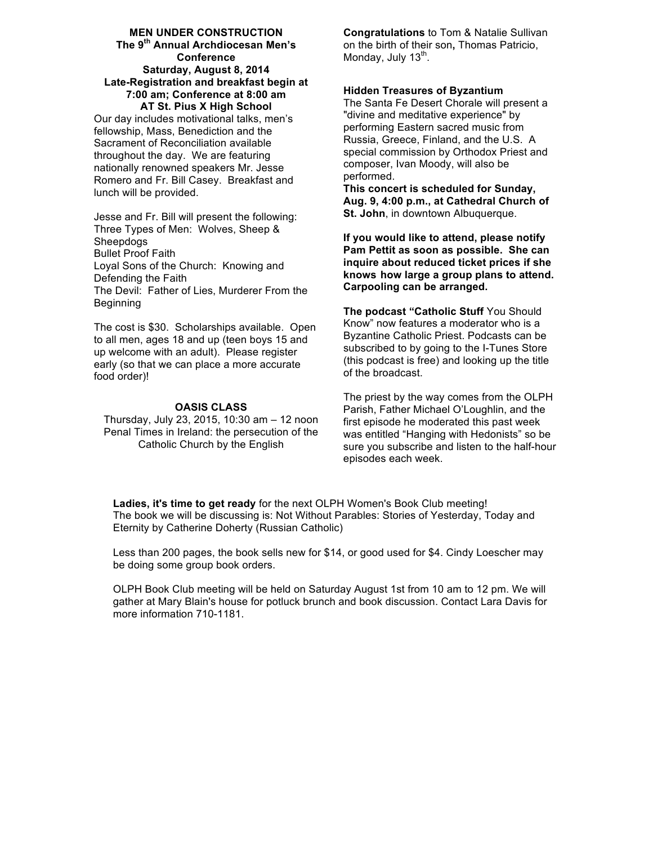#### **MEN UNDER CONSTRUCTION The!9th Annual!Archdiocesan!Men's! Conference** Saturday, August 8, 2014 **Late-Registration and breakfast begin at 7:00 am; Conference at 8:00 am AT St. Pius X High School**

Our day includes motivational talks, men's fellowship, Mass, Benediction and the Sacrament of Reconciliation available throughout the day. We are featuring nationally renowned speakers Mr. Jesse Romero and Fr. Bill Casey. Breakfast and lunch will be provided.

Jesse and Fr. Bill will present the following: Three Types of Men: Wolves, Sheep & **Sheepdogs Bullet Proof Faith** Loyal Sons of the Church: Knowing and Defending the Faith The Devil: Father of Lies, Murderer From the Beginning

The cost is \$30. Scholarships available. Open to all men, ages 18 and up (teen boys 15 and up welcome with an adult). Please register early (so that we can place a more accurate food order)!

825 CLASS<br>Thursday: July 22, 2045, 40:20 cm or 42 zes Thursday, July 23, 2015, 10:30 am – 12 noon Penal Times in Ireland: the persecution of the Catholic Church by the English

**Congratulations** to Tom & Natalie Sullivan on the birth of their son, Thomas Patricio, Monday, July  $13<sup>th</sup>$ .

#### **Hidden Treasures of Byzantium**

The Santa Fe Desert Chorale will present a "divine and meditative experience" by performing Eastern sacred music from Russia, Greece, Finland, and the U.S. A special commission by Orthodox Priest and composer, Ivan Moody, will also be performed.

**This concert is scheduled for Sunday,** Aug. 9, 4:00 p.m., at Cathedral Church of **St. John**, in downtown Albuquerque.

If you would like to attend, please notify **Pam Pettit as soon as possible. She can inquire about reduced ticket prices if she knows how!large!a!group plans!to attend. Carpooling!can be!arranged.**

**The podcast "Catholic Stuff** You Should Know" now features a moderator who is a Byzantine Catholic Priest. Podcasts can be subscribed to by going to the I-Tunes Store (this podcast is free) and looking up the title of the broadcast.

The priest by the way comes from the OLPH Parish, Father Michael O'Loughlin, and the first episode he moderated this past week was entitled "Hanging with Hedonists" so be sure you subscribe and listen to the half-hour episodes each week.

**Ladies, it's time to get ready** for the next OLPH Women's Book Club meeting! The book we will be discussing is: Not Without Parables: Stories of Yesterday, Today and Eternity by Catherine Doherty (Russian Catholic)

Less than 200 pages, the book sells new for  $$14$ , or good used for  $$4$ . Cindy Loescher may be doing some group book orders.

OLPH Book Club meeting will be held on Saturday August 1st from 10 am to 12 pm. We will gather at Mary Blain's house for potluck brunch and book discussion. Contact Lara Davis for more information 710-1181.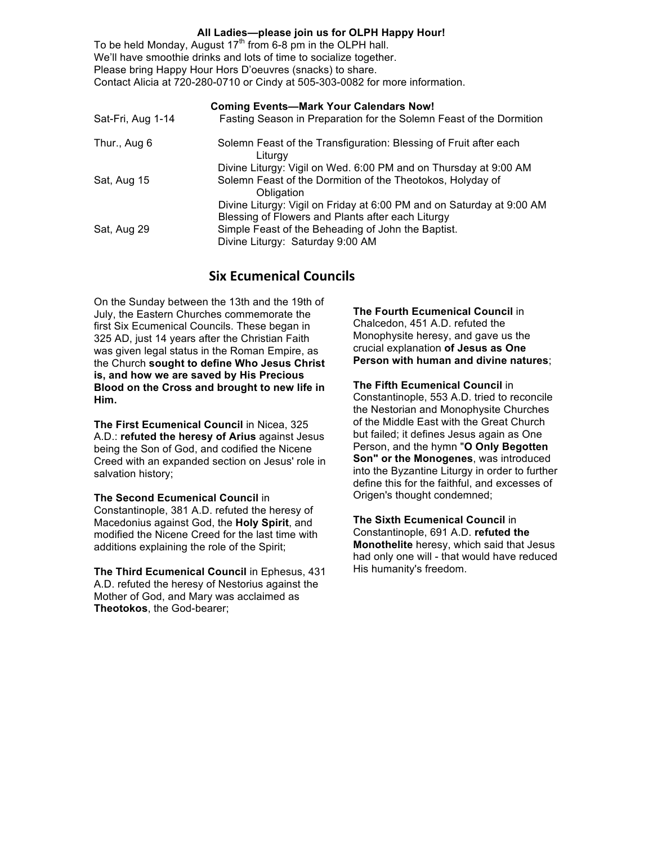#### All Ladies-please join us for OLPH Happy Hour!

To be held Monday, August 17<sup>th</sup> from 6-8 pm in the OLPH hall. We'll have smoothie drinks and lots of time to socialize together. Please bring Happy Hour Hors D'oeuvres (snacks) to share. Contact Alicia at 720-280-0710 or Cindy at 505-303-0082 for more information.

|                   | <b>Coming Events-Mark Your Calendars Now!</b>                                          |
|-------------------|----------------------------------------------------------------------------------------|
| Sat-Fri, Aug 1-14 | Fasting Season in Preparation for the Solemn Feast of the Dormition                    |
| Thur., Aug 6      | Solemn Feast of the Transfiguration: Blessing of Fruit after each<br>Liturgy           |
|                   | Divine Liturgy: Vigil on Wed. 6:00 PM and on Thursday at 9:00 AM                       |
| Sat, Aug 15       | Solemn Feast of the Dormition of the Theotokos, Holyday of<br>Obligation               |
|                   | Divine Liturgy: Vigil on Friday at 6:00 PM and on Saturday at 9:00 AM                  |
|                   | Blessing of Flowers and Plants after each Liturgy                                      |
| Sat, Aug 29       | Simple Feast of the Beheading of John the Baptist.<br>Divine Liturgy: Saturday 9:00 AM |

### **Six Ecumenical Councils**

On the Sunday between the 13th and the 19th of July, the Eastern Churches commemorate the first Six Ecumenical Councils. These began in 325 AD, just 14 years after the Christian Faith was given legal status in the Roman Empire, as the Church sought to define Who Jesus Christ is, and how we are saved by His Precious Blood on the Cross and brought to new life in Him.

The First Ecumenical Council in Nicea, 325 A.D.: refuted the heresy of Arius against Jesus being the Son of God, and codified the Nicene Creed with an expanded section on Jesus' role in salvation history;

The Second Ecumenical Council in Constantinople, 381 A.D. refuted the heresy of Macedonius against God, the Holy Spirit, and modified the Nicene Creed for the last time with additions explaining the role of the Spirit;

The Third Ecumenical Council in Ephesus, 431 A.D. refuted the heresy of Nestorius against the Mother of God, and Mary was acclaimed as Theotokos, the God-bearer;

The Fourth Ecumenical Council in Chalcedon, 451 A.D. refuted the Monophysite heresy, and gave us the crucial explanation of Jesus as One Person with human and divine natures:

The Fifth Ecumenical Council in Constantinople, 553 A.D. tried to reconcile the Nestorian and Monophysite Churches of the Middle East with the Great Church but failed; it defines Jesus again as One Person, and the hymn "O Only Begotten Son" or the Monogenes, was introduced into the Byzantine Liturgy in order to further define this for the faithful, and excesses of Origen's thought condemned;

The Sixth Ecumenical Council in Constantinople, 691 A.D. refuted the Monothelite heresy, which said that Jesus had only one will - that would have reduced His humanity's freedom.